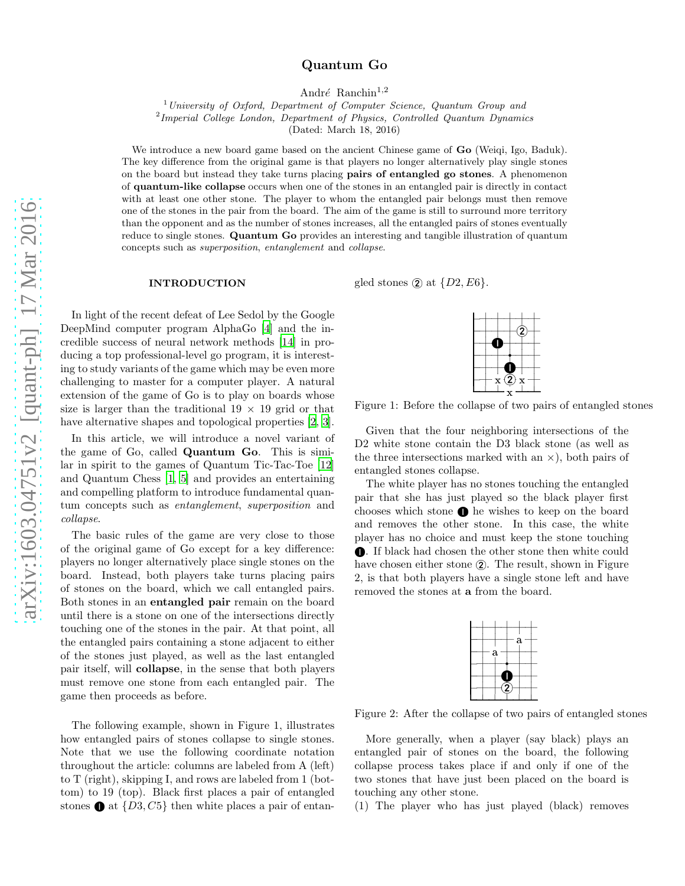# Quantum Go

André Ranchin<sup>1,2</sup>

<sup>1</sup>*University of Oxford, Department of Computer Science, Quantum Group and*

2 *Imperial College London, Department of Physics, Controlled Quantum Dynamics*

(Dated: March 18, 2016)

We introduce a new board game based on the ancient Chinese game of **Go** (Weigi, Igo, Baduk). The key difference from the original game is that players no longer alternatively play single stones on the board but instead they take turns placing pairs of entangled go stones. A phenomenon of quantum-like collapse occurs when one of the stones in an entangled pair is directly in contact with at least one other stone. The player to whom the entangled pair belongs must then remove one of the stones in the pair from the board. The aim of the game is still to surround more territory than the opponent and as the number of stones increases, all the entangled pairs of stones eventually reduce to single stones. Quantum Go provides an interesting and tangible illustration of quantum concepts such as *superposition*, *entanglement* and *collapse*.

#### INTRODUCTION

In light of the recent defeat of Lee Sedol by the Google DeepMind computer program AlphaGo [\[4](#page-7-0)] and the incredible success of neural network methods [\[14](#page-8-0)] in producing a top professional-level go program, it is interesting to study variants of the game which may be even more challenging to master for a computer player. A natural extension of the game of Go is to play on boards whose size is larger than the traditional  $19 \times 19$  grid or that have alternative shapes and topological properties  $[2, 3]$  $[2, 3]$ .

In this article, we will introduce a novel variant of the game of Go, called Quantum Go. This is similar in spirit to the games of Quantum Tic-Tac-Toe [\[12](#page-8-1)] and Quantum Chess [\[1](#page-7-3), [5\]](#page-7-4) and provides an entertaining and compelling platform to introduce fundamental quantum concepts such as entanglement, superposition and collapse.

The basic rules of the game are very close to those of the original game of Go except for a key difference: players no longer alternatively place single stones on the board. Instead, both players take turns placing pairs of stones on the board, which we call entangled pairs. Both stones in an entangled pair remain on the board until there is a stone on one of the intersections directly touching one of the stones in the pair. At that point, all the entangled pairs containing a stone adjacent to either of the stones just played, as well as the last entangled pair itself, will collapse, in the sense that both players must remove one stone from each entangled pair. The game then proceeds as before.

The following example, shown in Figure 1, illustrates how entangled pairs of stones collapse to single stones. Note that we use the following coordinate notation throughout the article: columns are labeled from A (left) to T (right), skipping I, and rows are labeled from 1 (bottom) to 19 (top). Black first places a pair of entangled stones  $\bullet$  at  $\{D3, C5\}$  then white places a pair of entangled stones  $\mathcal{Q}$  at  $\{D2, E6\}.$ 

-. . . . . . -. . . . .  $\bullet\!+\!+$ - and the contract of the contract of the contract of the contract of the contract of the contract of the contract of -. . . . . .  $\bullet\!+$ -. . . . ②· - <sup>x</sup> and the state of the state of the state of the state of the state of the state of the state of the state of the 

Figure 1: Before the collapse of two pairs of entangled stones

Given that the four neighboring intersections of the D2 white stone contain the D3 black stone (as well as the three intersections marked with an  $\times$ ), both pairs of entangled stones collapse.

The white player has no stones touching the entangled pair that she has just played so the black player first chooses which stone  $\bullet$  he wishes to keep on the board and removes the other stone. In this case, the white player has no choice and must keep the stone touching . If black had chosen the other stone then white could have chosen either stone  $(2)$ . The result, shown in Figure 2, is that both players have a single stone left and have removed the stones at a from the board.



Figure 2: After the collapse of two pairs of entangled stones

More generally, when a player (say black) plays an entangled pair of stones on the board, the following collapse process takes place if and only if one of the two stones that have just been placed on the board is touching any other stone.

(1) The player who has just played (black) removes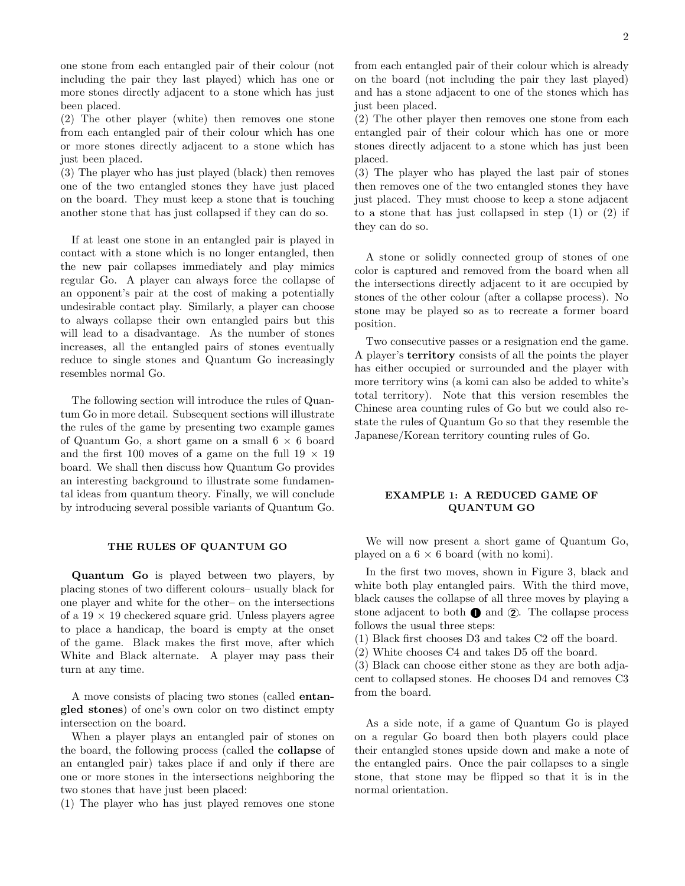one stone from each entangled pair of their colour (not including the pair they last played) which has one or more stones directly adjacent to a stone which has just been placed.

(2) The other player (white) then removes one stone from each entangled pair of their colour which has one or more stones directly adjacent to a stone which has just been placed.

(3) The player who has just played (black) then removes one of the two entangled stones they have just placed on the board. They must keep a stone that is touching another stone that has just collapsed if they can do so.

If at least one stone in an entangled pair is played in contact with a stone which is no longer entangled, then the new pair collapses immediately and play mimics regular Go. A player can always force the collapse of an opponent's pair at the cost of making a potentially undesirable contact play. Similarly, a player can choose to always collapse their own entangled pairs but this will lead to a disadvantage. As the number of stones increases, all the entangled pairs of stones eventually reduce to single stones and Quantum Go increasingly resembles normal Go.

The following section will introduce the rules of Quantum Go in more detail. Subsequent sections will illustrate the rules of the game by presenting two example games of Quantum Go, a short game on a small  $6 \times 6$  board and the first 100 moves of a game on the full  $19 \times 19$ board. We shall then discuss how Quantum Go provides an interesting background to illustrate some fundamental ideas from quantum theory. Finally, we will conclude by introducing several possible variants of Quantum Go.

### THE RULES OF QUANTUM GO

Quantum Go is played between two players, by placing stones of two different colours– usually black for one player and white for the other– on the intersections of a  $19 \times 19$  checkered square grid. Unless players agree to place a handicap, the board is empty at the onset of the game. Black makes the first move, after which White and Black alternate. A player may pass their turn at any time.

A move consists of placing two stones (called entangled stones) of one's own color on two distinct empty intersection on the board.

When a player plays an entangled pair of stones on the board, the following process (called the collapse of an entangled pair) takes place if and only if there are one or more stones in the intersections neighboring the two stones that have just been placed:

(1) The player who has just played removes one stone

from each entangled pair of their colour which is already on the board (not including the pair they last played) and has a stone adjacent to one of the stones which has just been placed.

(2) The other player then removes one stone from each entangled pair of their colour which has one or more stones directly adjacent to a stone which has just been placed.

(3) The player who has played the last pair of stones then removes one of the two entangled stones they have just placed. They must choose to keep a stone adjacent to a stone that has just collapsed in step (1) or (2) if they can do so.

A stone or solidly connected group of stones of one color is captured and removed from the board when all the intersections directly adjacent to it are occupied by stones of the other colour (after a collapse process). No stone may be played so as to recreate a former board position.

Two consecutive passes or a resignation end the game. A player's territory consists of all the points the player has either occupied or surrounded and the player with more territory wins (a komi can also be added to white's total territory). Note that this version resembles the Chinese area counting rules of Go but we could also restate the rules of Quantum Go so that they resemble the Japanese/Korean territory counting rules of Go.

## EXAMPLE 1: A REDUCED GAME OF QUANTUM GO

We will now present a short game of Quantum Go, played on a  $6 \times 6$  board (with no komi).

In the first two moves, shown in Figure 3, black and white both play entangled pairs. With the third move, black causes the collapse of all three moves by playing a stone adjacent to both  $\bullet$  and  $\circled{2}$ . The collapse process follows the usual three steps:

(1) Black first chooses D3 and takes C2 off the board.

(2) White chooses C4 and takes D5 off the board.

(3) Black can choose either stone as they are both adjacent to collapsed stones. He chooses D4 and removes C3 from the board.

As a side note, if a game of Quantum Go is played on a regular Go board then both players could place their entangled stones upside down and make a note of the entangled pairs. Once the pair collapses to a single stone, that stone may be flipped so that it is in the normal orientation.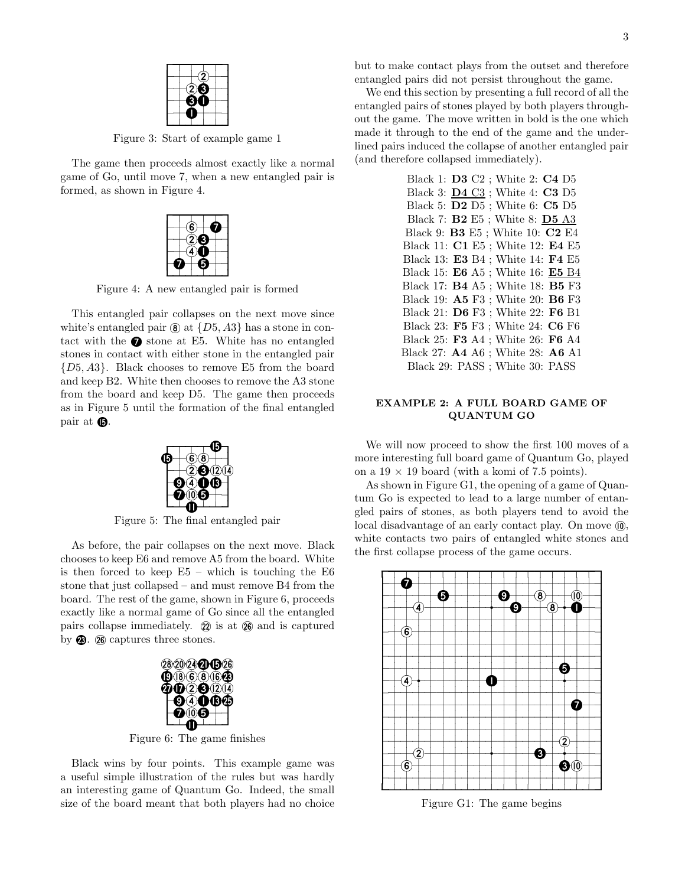

Figure 3: Start of example game 1

The game then proceeds almost exactly like a normal game of Go, until move 7, when a new entangled pair is formed, as shown in Figure 4.



Figure 4: A new entangled pair is formed

This entangled pair collapses on the next move since white's entangled pair  $\Omega$  at  $\{D5, A3\}$  has a stone in contact with the  $\bullet$  stone at E5. White has no entangled stones in contact with either stone in the entangled pair {D5, A3}. Black chooses to remove E5 from the board and keep B2. White then chooses to remove the A3 stone from the board and keep D5. The game then proceeds as in Figure 5 until the formation of the final entangled pair at  $\mathbf{\Omega}$ .



Figure 5: The final entangled pair

As before, the pair collapses on the next move. Black chooses to keep E6 and remove A5 from the board. White is then forced to keep  $E5$  – which is touching the  $E6$ stone that just collapsed – and must remove B4 from the board. The rest of the game, shown in Figure 6, proceeds exactly like a normal game of Go since all the entangled pairs collapse immediately.  $\hat{z}$  is at  $\hat{z}$  and is captured by  $\circledR$ .  $\circledR$  captures three stones.



Figure 6: The game finishes

Black wins by four points. This example game was a useful simple illustration of the rules but was hardly an interesting game of Quantum Go. Indeed, the small size of the board meant that both players had no choice but to make contact plays from the outset and therefore entangled pairs did not persist throughout the game.

We end this section by presenting a full record of all the entangled pairs of stones played by both players throughout the game. The move written in bold is the one which made it through to the end of the game and the underlined pairs induced the collapse of another entangled pair (and therefore collapsed immediately).

| Black 1: <b>D3</b> C2 ; White 2: <b>C4</b> D5          |
|--------------------------------------------------------|
| Black 3: $\underline{\mathbf{D4}}$ C3 ; White 4: C3 D5 |
| Black 5: $D2 D5$ ; White 6: $C5 D5$                    |
| Black 7: <b>B2</b> E5; White 8: <b>D5</b> A3           |
| Black 9: <b>B3</b> E5 ; White 10: <b>C2</b> E4         |
| Black 11: C1 E5 ; White 12: E4 E5                      |
| Black 13: E3 B4 ; White 14: F4 E5                      |
| Black 15: E6 A5 ; White 16: E5 B4                      |
| Black 17: <b>B4</b> A5 ; White 18: <b>B5</b> F3        |
| Black 19: A5 F3 ; White 20: B6 F3                      |
| Black 21: D6 F3 ; White 22: F6 B1                      |
| Black 23: F5 F3 ; White 24: C6 F6                      |
| Black 25: F3 A4 ; White 26: F6 A4                      |
| Black 27: A4 A6 ; White 28: A6 A1                      |
| Black 29: PASS ; White 30: PASS                        |

# EXAMPLE 2: A FULL BOARD GAME OF QUANTUM GO

We will now proceed to show the first 100 moves of a more interesting full board game of Quantum Go, played on a  $19 \times 19$  board (with a komi of 7.5 points).

As shown in Figure G1, the opening of a game of Quantum Go is expected to lead to a large number of entangled pairs of stones, as both players tend to avoid the local disadvantage of an early contact play. On move  $\omega$ , white contacts two pairs of entangled white stones and the first collapse process of the game occurs.



Figure G1: The game begins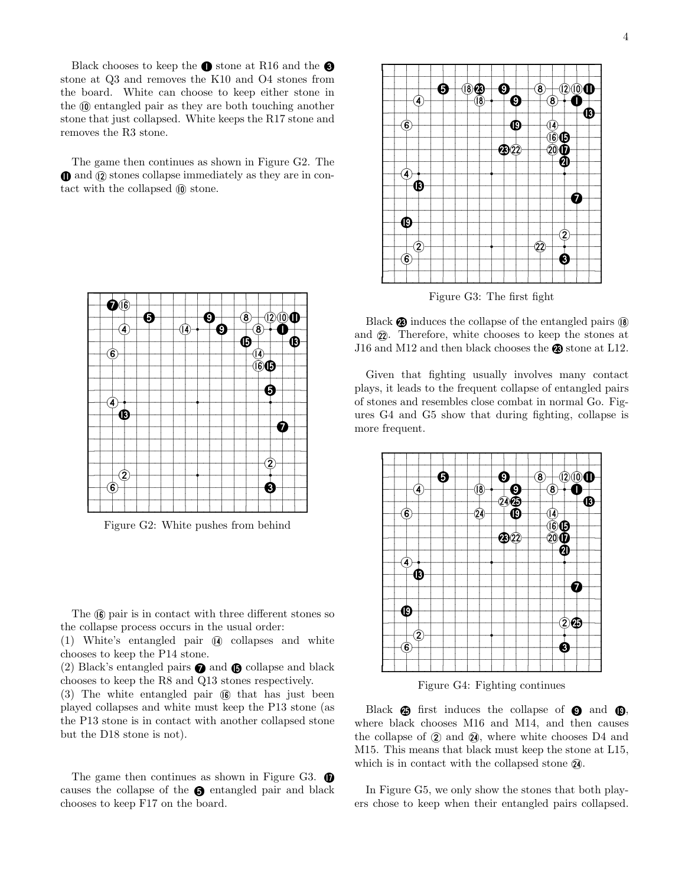Black chooses to keep the  $\bullet$  stone at R16 and the  $\bullet$ stone at Q3 and removes the K10 and O4 stones from the board. White can choose to keep either stone in the  $\omega$  entangled pair as they are both touching another stone that just collapsed. White keeps the R17 stone and removes the R3 stone.

The game then continues as shown in Figure G2. The  $\mathbf 0$  and  $\mathbf 0$  stones collapse immediately as they are in contact with the collapsed  $\omega$  stone.



Figure G2: White pushes from behind

The  $(6)$  pair is in contact with three different stones so the collapse process occurs in the usual order:

(1) White's entangled pair <sup>Æ</sup> collapses and white chooses to keep the P14 stone.

(2) Black's entangled pairs  $\bullet$  and  $\bullet$  collapse and black chooses to keep the R8 and Q13 stones respectively.

 $(3)$  The white entangled pair  $(6)$  that has just been played collapses and white must keep the P13 stone (as the P13 stone is in contact with another collapsed stone but the D18 stone is not).

The game then continues as shown in Figure G3.  $\bullet$ causes the collapse of the  $\bigcirc$  entangled pair and black chooses to keep F17 on the board.



Figure G3: The first fight

Black  $\circledR$  induces the collapse of the entangled pairs  $\circledR$ and  $(2)$ . Therefore, white chooses to keep the stones at J16 and M12 and then black chooses the  $\otimes$  stone at L12.

Given that fighting usually involves many contact plays, it leads to the frequent collapse of entangled pairs of stones and resembles close combat in normal Go. Figures G4 and G5 show that during fighting, collapse is more frequent.



Figure G4: Fighting continues

Black  $\circled{a}$  first induces the collapse of  $\circled{a}$  and  $\circled{b}$ , where black chooses M16 and M14, and then causes the collapse of  $\Omega$  and  $\Omega$ , where white chooses D4 and M15. This means that black must keep the stone at L15, which is in contact with the collapsed stone  $\mathbf{\mathcal{Q}}$ .

In Figure G5, we only show the stones that both players chose to keep when their entangled pairs collapsed.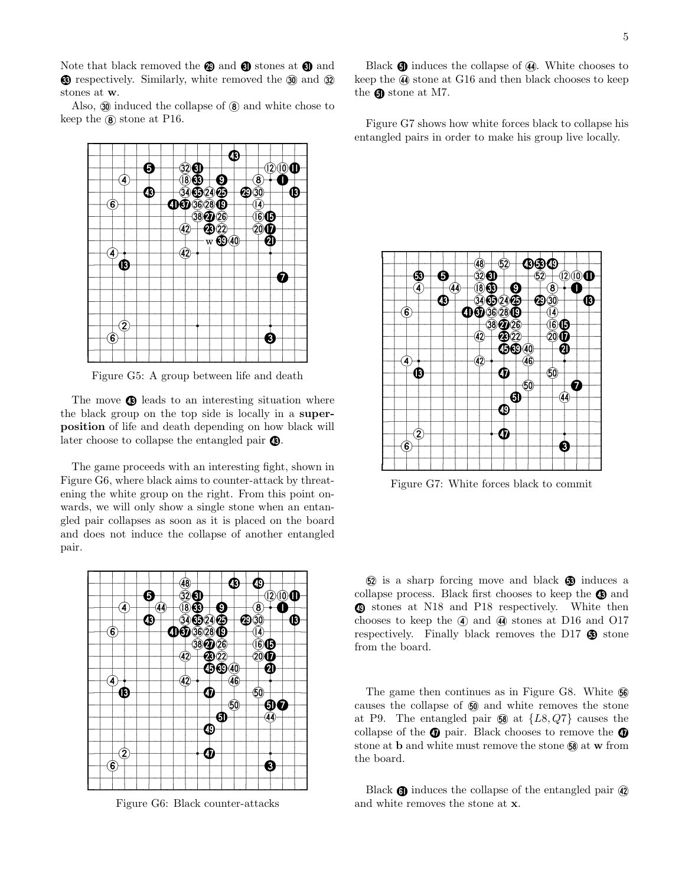Note that black removed the  $\circledast$  and  $\circledast$  stones at  $\circledast$  and  $\circledR$  respectively. Similarly, white removed the  $\circledR$  and  $\circledR$ stones at w.

Also,  $\omega$  induced the collapse of  $\omega$  and white chose to keep the  $\circledast$  stone at P16.



Figure G5: A group between life and death

The move  $\bullet$  leads to an interesting situation where the black group on the top side is locally in a superposition of life and death depending on how black will later choose to collapse the entangled pair  $\bullet$ .

The game proceeds with an interesting fight, shown in Figure G6, where black aims to counter-attack by threatening the white group on the right. From this point onwards, we will only show a single stone when an entangled pair collapses as soon as it is placed on the board and does not induce the collapse of another entangled pair.



Figure G6: Black counter-attacks

Black  $\mathbf{\mathbf{\odot}}$  induces the collapse of  $\mathbf{\mathcal{A}}$ . White chooses to keep the  $\omega$  stone at G16 and then black chooses to keep the  $\bigcirc$  stone at M7.

Figure G7 shows how white forces black to collapse his entangled pairs in order to make his group live locally.



Figure G7: White forces black to commit

 $\Omega$  is a sharp forcing move and black  $\Omega$  induces a collapse process. Black first chooses to keep the  $\bullet$  and **1** stones at N18 and P18 respectively. White then chooses to keep the  $\circled{4}$  and  $\circled{4}$  stones at D16 and O17 respectively. Finally black removes the D17  $\circledR$  stone from the board.

The game then continues as in Figure G8. White  $\mathbb{G}$ causes the collapse of 50 and white removes the stone at P9. The entangled pair  $\mathbf{60}$  at  $\{L8, Q7\}$  causes the collapse of the  $\oplus$  pair. Black chooses to remove the  $\oplus$ stone at **b** and white must remove the stone  $\mathbf{60}$  at **w** from the board.

Black  $\mathbf{\odot}$  induces the collapse of the entangled pair  $\mathbf{\odot}$ and white removes the stone at x.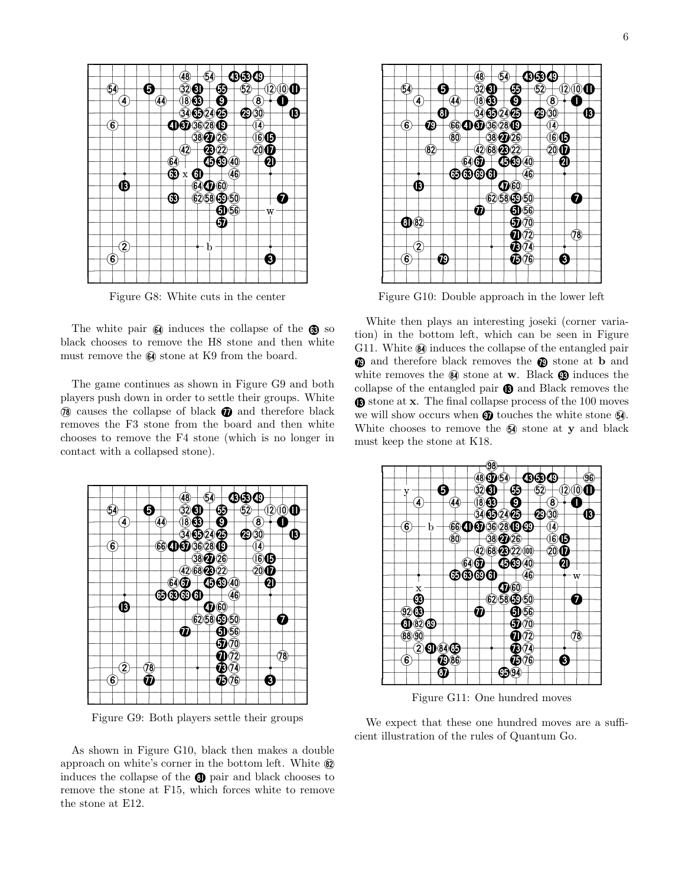

Figure G8: White cuts in the center

The white pair  $\mathbb{G}$  induces the collapse of the  $\mathbb{G}$  so black chooses to remove the H8 stone and then white must remove the  $\mathbb{G}$  stone at K9 from the board.

The game continues as shown in Figure G9 and both players push down in order to settle their groups. White  $\omega$  causes the collapse of black  $\omega$  and therefore black removes the F3 stone from the board and then white chooses to remove the F4 stone (which is no longer in contact with a collapsed stone).



Figure G9: Both players settle their groups

As shown in Figure G10, black then makes a double approach on white's corner in the bottom left. White  $\circledR$ induces the collapse of the <sup>Q</sup> pair and black chooses to remove the stone at F15, which forces white to remove the stone at E12.



Figure G10: Double approach in the lower left

White then plays an interesting joseki (corner variation) in the bottom left, which can be seen in Figure G11. White  $\omega$  induces the collapse of the entangled pair <sup>O</sup> and therefore black removes the <sup>O</sup> stone at b and white removes the  $\mathbf{\Theta}$  stone at **w**. Black  $\mathbf{\Theta}$  induces the collapse of the entangled pair  $\bigcirc$  and Black removes the stone at x. The final collapse process of the 100 moves we will show occurs when  $\mathbf{\Omega}$  touches the white stone  $\mathbf{\Omega}$ . White chooses to remove the  $\mathfrak{g}$  stone at y and black must keep the stone at K18.



Figure G11: One hundred moves

We expect that these one hundred moves are a sufficient illustration of the rules of Quantum Go.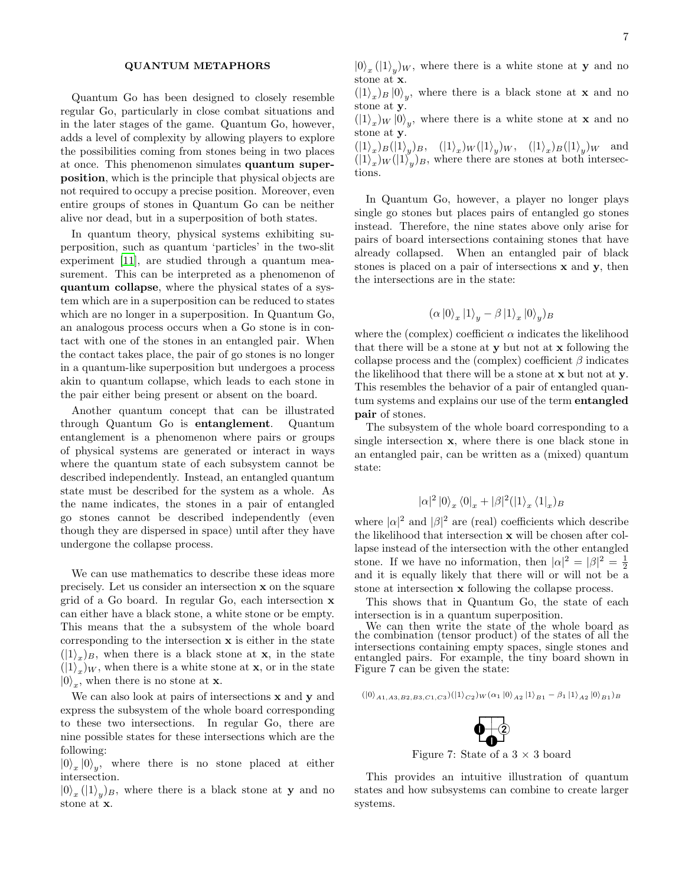#### QUANTUM METAPHORS

Quantum Go has been designed to closely resemble regular Go, particularly in close combat situations and in the later stages of the game. Quantum Go, however, adds a level of complexity by allowing players to explore the possibilities coming from stones being in two places at once. This phenomenon simulates quantum superposition, which is the principle that physical objects are not required to occupy a precise position. Moreover, even entire groups of stones in Quantum Go can be neither alive nor dead, but in a superposition of both states.

In quantum theory, physical systems exhibiting superposition, such as quantum 'particles' in the two-slit experiment [\[11\]](#page-7-5), are studied through a quantum measurement. This can be interpreted as a phenomenon of quantum collapse, where the physical states of a system which are in a superposition can be reduced to states which are no longer in a superposition. In Quantum Go, an analogous process occurs when a Go stone is in contact with one of the stones in an entangled pair. When the contact takes place, the pair of go stones is no longer in a quantum-like superposition but undergoes a process akin to quantum collapse, which leads to each stone in the pair either being present or absent on the board.

Another quantum concept that can be illustrated through Quantum Go is entanglement. Quantum entanglement is a phenomenon where pairs or groups of physical systems are generated or interact in ways where the quantum state of each subsystem cannot be described independently. Instead, an entangled quantum state must be described for the system as a whole. As the name indicates, the stones in a pair of entangled go stones cannot be described independently (even though they are dispersed in space) until after they have undergone the collapse process.

We can use mathematics to describe these ideas more precisely. Let us consider an intersection x on the square grid of a Go board. In regular Go, each intersection x can either have a black stone, a white stone or be empty. This means that the a subsystem of the whole board corresponding to the intersection x is either in the state  $(|1\rangle_x)_B$ , when there is a black stone at **x**, in the state  $(|1\rangle_x)_W$ , when there is a white stone at **x**, or in the state  $|0\rangle_x$ , when there is no stone at **x**.

We can also look at pairs of intersections **x** and **y** and express the subsystem of the whole board corresponding to these two intersections. In regular Go, there are nine possible states for these intersections which are the following:

 $|0\rangle_x |0\rangle_y$ , where there is no stone placed at either intersection.

 $|0\rangle_x (|1\rangle_y)$ <sub>B</sub>, where there is a black stone at **y** and no stone at x.

 $|0\rangle_x (|1\rangle_y)$ <sub>*w*</sub>, where there is a white stone at **y** and no stone at x.

 $(|1\rangle_x)_B |0\rangle_y$ , where there is a black stone at **x** and no stone at y.

 $(|1\rangle_x)_{W} |0\rangle_y$ , where there is a white stone at **x** and no stone at y.

 $(|1\rangle_x)_B(|1\rangle_y)_B$ ,  $(|1\rangle_x)_W(|1\rangle_y)_W$ ,  $(|1\rangle_x)_B(|1\rangle_y)_W$  and  $(|1\rangle_x)_{W}(|1\rangle_y)_{B}$ , where there are stones at both intersections.

In Quantum Go, however, a player no longer plays single go stones but places pairs of entangled go stones instead. Therefore, the nine states above only arise for pairs of board intersections containing stones that have already collapsed. When an entangled pair of black stones is placed on a pair of intersections x and y, then the intersections are in the state:

$$
(\alpha \left| 0 \right\rangle _x \left| 1 \right\rangle _y - \beta \left| 1 \right\rangle _x \left| 0 \right\rangle _y )_B
$$

where the (complex) coefficient  $\alpha$  indicates the likelihood that there will be a stone at y but not at x following the collapse process and the (complex) coefficient  $\beta$  indicates the likelihood that there will be a stone at x but not at y. This resembles the behavior of a pair of entangled quantum systems and explains our use of the term entangled pair of stones.

The subsystem of the whole board corresponding to a single intersection x, where there is one black stone in an entangled pair, can be written as a (mixed) quantum state:

$$
|\alpha|^2\left|0\right\rangle_x\left\langle 0\right|_x+|\beta|^2(|1\rangle_x\left\langle 1\right|_x)_B
$$

where  $|\alpha|^2$  and  $|\beta|^2$  are (real) coefficients which describe the likelihood that intersection x will be chosen after collapse instead of the intersection with the other entangled stone. If we have no information, then  $|\alpha|^2 = |\beta|^2 = \frac{1}{2}$ and it is equally likely that there will or will not be a stone at intersection x following the collapse process.

This shows that in Quantum Go, the state of each intersection is in a quantum superposition.

We can then write the state of the whole board as the combination (tensor product) of the states of all the intersections containing empty spaces, single stones and entangled pairs. For example, the tiny board shown in Figure 7 can be given the state:

$$
(|0\rangle_{A1,A3,B2,B3,C1,C3})(|1\rangle_{C2})_{W}(\alpha_{1}|0\rangle_{A2}|1\rangle_{B1}-\beta_{1}|1\rangle_{A2}|0\rangle_{B1})_{B}
$$



Figure 7: State of a 3  $\times$  3 board

This provides an intuitive illustration of quantum states and how subsystems can combine to create larger systems.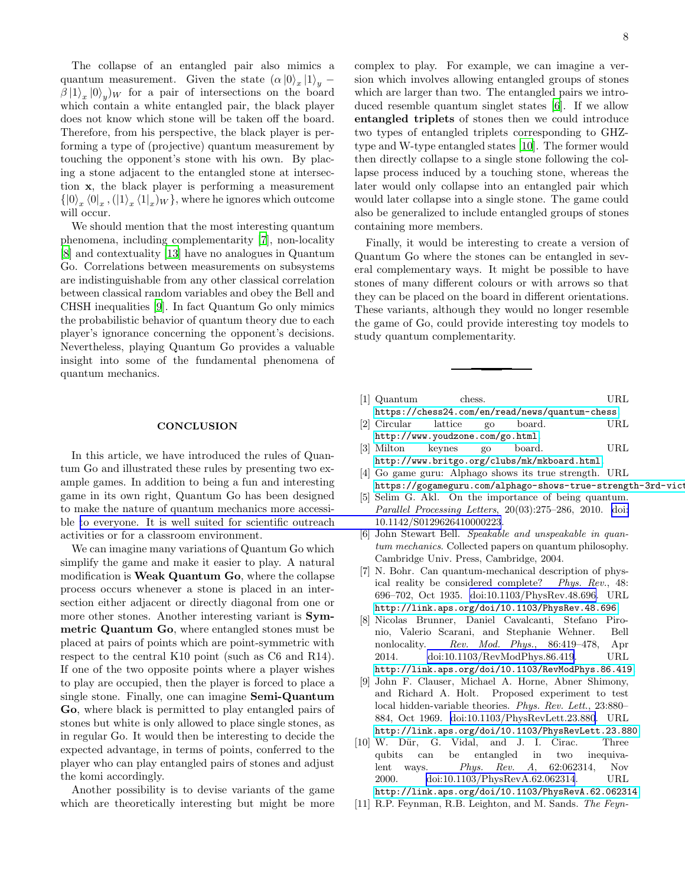The collapse of an entangled pair also mimics a quantum measurement. Given the state  $(\alpha|0\rangle_x|1\rangle_y$  –  $\beta |1\rangle_x |0\rangle_y$  for a pair of intersections on the board which contain a white entangled pair, the black player does not know which stone will be taken off the board. Therefore, from his perspective, the black player is performing a type of (projective) quantum measurement by touching the opponent's stone with his own. By placing a stone adjacent to the entangled stone at intersection x, the black player is performing a measurement  $\{\ket{0}_x\bra{0}_x,(\ket{1}_x\bra{1}_x)_W\}$ , where he ignores which outcome will occur.

We should mention that the most interesting quantum phenomena, including complementarity [\[7](#page-7-6)], non-locality [\[8\]](#page-7-7) and contextuality [\[13](#page-8-2)] have no analogues in Quantum Go. Correlations between measurements on subsystems are indistinguishable from any other classical correlation between classical random variables and obey the Bell and CHSH inequalities [\[9\]](#page-7-8). In fact Quantum Go only mimics the probabilistic behavior of quantum theory due to each player's ignorance concerning the opponent's decisions. Nevertheless, playing Quantum Go provides a valuable insight into some of the fundamental phenomena of quantum mechanics.

## **CONCLUSION**

In this article, we have introduced the rules of Quantum Go and illustrated these rules by presenting two example games. In addition to being a fun and interesting game in its own right, Quantum Go has been designed to make the nature of quantum mechanics more accessible [to everyone. It is well suited for scientific outreach](http://dx.doi.org/10.1142/S0129626410000223) activities or for a classroom environment.

We can imagine many variations of Quantum Go which simplify the game and make it easier to play. A natural modification is Weak Quantum Go, where the collapse process occurs whenever a stone is placed in an intersection either adjacent or directly diagonal from one or more other stones. Another interesting variant is **Sym**metric Quantum Go, where entangled stones must be placed at pairs of points which are point-symmetric with respect to the central K10 point (such as C6 and R14). If one of the two opposite points where a player wishes to play are occupied, then the player is forced to place a single stone. Finally, one can imagine Semi-Quantum Go, where black is permitted to play entangled pairs of stones but white is only allowed to place single stones, as in regular Go. It would then be interesting to decide the expected advantage, in terms of points, conferred to the player who can play entangled pairs of stones and adjust the komi accordingly.

Another possibility is to devise variants of the game which are theoretically interesting but might be more complex to play. For example, we can imagine a version which involves allowing entangled groups of stones which are larger than two. The entangled pairs we introduced resemble quantum singlet states [\[6\]](#page-7-9). If we allow entangled triplets of stones then we could introduce two types of entangled triplets corresponding to GHZtype and W-type entangled states [\[10](#page-7-10)]. The former would then directly collapse to a single stone following the collapse process induced by a touching stone, whereas the later would only collapse into an entangled pair which would later collapse into a single stone. The game could also be generalized to include entangled groups of stones containing more members.

Finally, it would be interesting to create a version of Quantum Go where the stones can be entangled in several complementary ways. It might be possible to have stones of many different colours or with arrows so that they can be placed on the board in different orientations. These variants, although they would no longer resemble the game of Go, could provide interesting toy models to study quantum complementarity.

- <span id="page-7-3"></span>[1] Quantum chess. URL <https://chess24.com/en/read/news/quantum-chess>.
- <span id="page-7-1"></span>[2] Circular lattice go board. URL <http://www.youdzone.com/go.html>.
- <span id="page-7-2"></span>[3] Milton keynes go board. URL <http://www.britgo.org/clubs/mk/mkboard.html>.
- <span id="page-7-0"></span>[4] Go game guru: Alphago shows its true strength. URL [https://gogameguru.com/alphago-shows-true-strength-3rd-vict](https://gogameguru.com/alphago-shows-true-strength-3rd-victory-lee-sedol/)
- <span id="page-7-4"></span>[5] Selim G. Akl. On the importance of being quantum. *Parallel Processing Letters*, 20(03):275–286, 2010. [doi:](http://dx.doi.org/10.1142/S0129626410000223) 10.1142/S0129626410000223.
- <span id="page-7-9"></span>[6] John Stewart Bell. *Speakable and unspeakable in quantum mechanics*. Collected papers on quantum philosophy. Cambridge Univ. Press, Cambridge, 2004.
- <span id="page-7-6"></span>[7] N. Bohr. Can quantum-mechanical description of physical reality be considered complete? *Phys. Rev.*, 48: 696–702, Oct 1935. [doi:10.1103/PhysRev.48.696.](http://dx.doi.org/10.1103/PhysRev.48.696) URL <http://link.aps.org/doi/10.1103/PhysRev.48.696>.
- <span id="page-7-7"></span>[8] Nicolas Brunner, Daniel Cavalcanti, Stefano Pironio, Valerio Scarani, and Stephanie Wehner. Bell nonlocality. *Rev. Mod. Phys.*, 86:419–478, Apr 2014. [doi:10.1103/RevModPhys.86.419](http://dx.doi.org/10.1103/RevModPhys.86.419). URL <http://link.aps.org/doi/10.1103/RevModPhys.86.419>.
- <span id="page-7-8"></span>[9] John F. Clauser, Michael A. Horne, Abner Shimony, and Richard A. Holt. Proposed experiment to test local hidden-variable theories. *Phys. Rev. Lett.*, 23:880– 884, Oct 1969. [doi:10.1103/PhysRevLett.23.880](http://dx.doi.org/10.1103/PhysRevLett.23.880). URL <http://link.aps.org/doi/10.1103/PhysRevLett.23.880>.
- <span id="page-7-10"></span>[10] W. Dür, G. Vidal, and J. I. Cirac. Three qubits can be entangled in two inequivalent ways. *Phys. Rev. A*, 62:062314, Nov 2000. [doi:10.1103/PhysRevA.62.062314](http://dx.doi.org/10.1103/PhysRevA.62.062314). URL <http://link.aps.org/doi/10.1103/PhysRevA.62.062314>.
- <span id="page-7-5"></span>[11] R.P. Feynman, R.B. Leighton, and M. Sands. *The Feyn-*